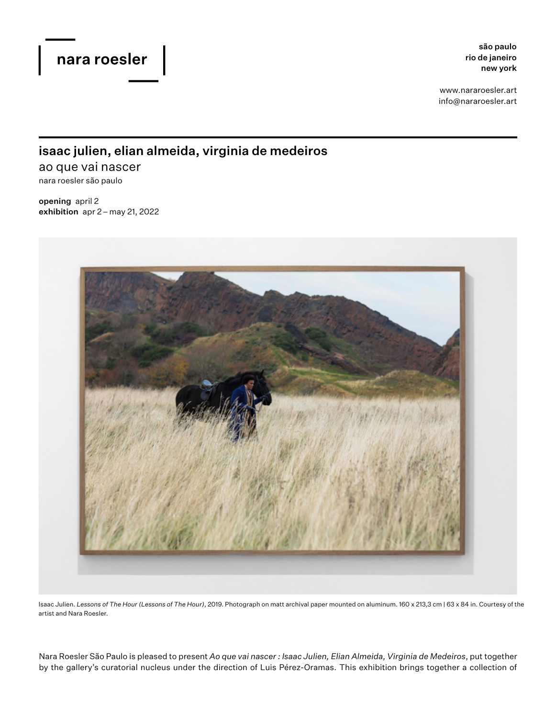são paulo rio de janeiro new york

www.nararoesler.art info@nararoesler.art

# isaac julien, elian almeida, virginia de medeiros

ao que vai nascer nara roesler são paulo

opening april 2 exhibition apr 2–may 21, 2022



Isaac Julien. *Lessons of The Hour (Lessons of The Hour)*, 2019. Photograph on matt archival paper mounted on aluminum. 160 x 213,3 cm | 63 x 84 in. Courtesy of the artist and Nara Roesler.

Nara Roesler São Paulo is pleased to present *Ao que vai nascer : Isaac Julien, Elian Almeida, Virginia de Medeiros*, put together by the gallery's curatorial nucleus under the direction of Luis Pérez-Oramas. This exhibition brings together a collection of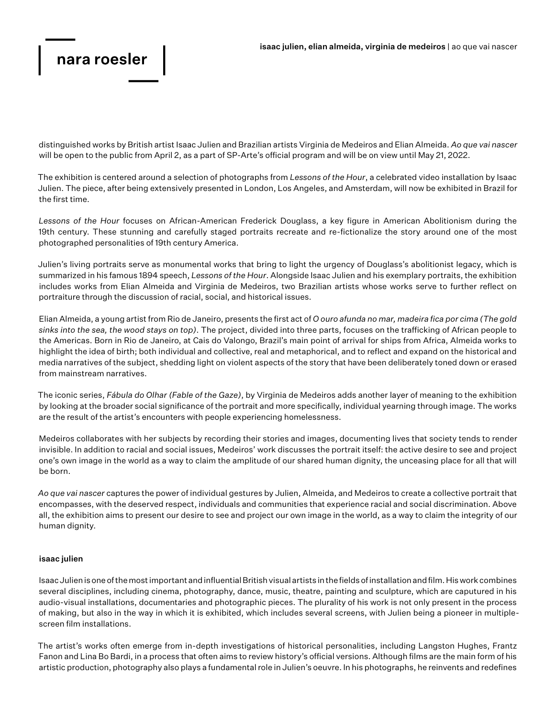## nara roesler

distinguished works by British artist Isaac Julien and Brazilian artists Virginia de Medeiros and Elian Almeida. *Ao que vai nascer*  will be open to the public from April 2, as a part of SP-Arte's official program and will be on view until May 21, 2022.

The exhibition is centered around a selection of photographs from *Lessons of the Hour*, a celebrated video installation by Isaac Julien. The piece, after being extensively presented in London, Los Angeles, and Amsterdam, will now be exhibited in Brazil for the first time.

*Lessons of the Hour* focuses on African-American Frederick Douglass, a key figure in American Abolitionism during the 19th century. These stunning and carefully staged portraits recreate and re-fictionalize the story around one of the most photographed personalities of 19th century America.

Julien's living portraits serve as monumental works that bring to light the urgency of Douglass's abolitionist legacy, which is summarized in his famous 1894 speech, *Lessons of the Hour*. Alongside Isaac Julien and his exemplary portraits, the exhibition includes works from Elian Almeida and Virginia de Medeiros, two Brazilian artists whose works serve to further reflect on portraiture through the discussion of racial, social, and historical issues.

Elian Almeida, a young artist from Rio de Janeiro, presents the first act of *O ouro afunda no mar, madeira fica por cima (The gold sinks into the sea, the wood stays on top)*. The project, divided into three parts, focuses on the trafficking of African people to the Americas. Born in Rio de Janeiro, at Cais do Valongo, Brazil's main point of arrival for ships from Africa, Almeida works to highlight the idea of birth; both individual and collective, real and metaphorical, and to reflect and expand on the historical and media narratives of the subject, shedding light on violent aspects of the story that have been deliberately toned down or erased from mainstream narratives.

The iconic series, *Fábula do Olhar (Fable of the Gaze)*, by Virginia de Medeiros adds another layer of meaning to the exhibition by looking at the broader social significance of the portrait and more specifically, individual yearning through image. The works are the result of the artist's encounters with people experiencing homelessness.

Medeiros collaborates with her subjects by recording their stories and images, documenting lives that society tends to render invisible. In addition to racial and social issues, Medeiros' work discusses the portrait itself: the active desire to see and project one's own image in the world as a way to claim the amplitude of our shared human dignity, the unceasing place for all that will be born.

*Ao que vai nascer* captures the power of individual gestures by Julien, Almeida, and Medeiros to create a collective portrait that encompasses, with the deserved respect, individuals and communities that experience racial and social discrimination. Above all, the exhibition aims to present our desire to see and project our own image in the world, as a way to claim the integrity of our human dignity.

## isaac julien

Isaac Julien is one of the most important and influential British visual artists in the fields of installation and film. His work combines several disciplines, including cinema, photography, dance, music, theatre, painting and sculpture, which are caputured in his audio-visual installations, documentaries and photographic pieces. The plurality of his work is not only present in the process of making, but also in the way in which it is exhibited, which includes several screens, with Julien being a pioneer in multiplescreen film installations.

The artist's works often emerge from in-depth investigations of historical personalities, including Langston Hughes, Frantz Fanon and Lina Bo Bardi, in a process that often aims to review history's official versions. Although films are the main form of his artistic production, photography also plays a fundamental role in Julien's oeuvre. In his photographs, he reinvents and redefines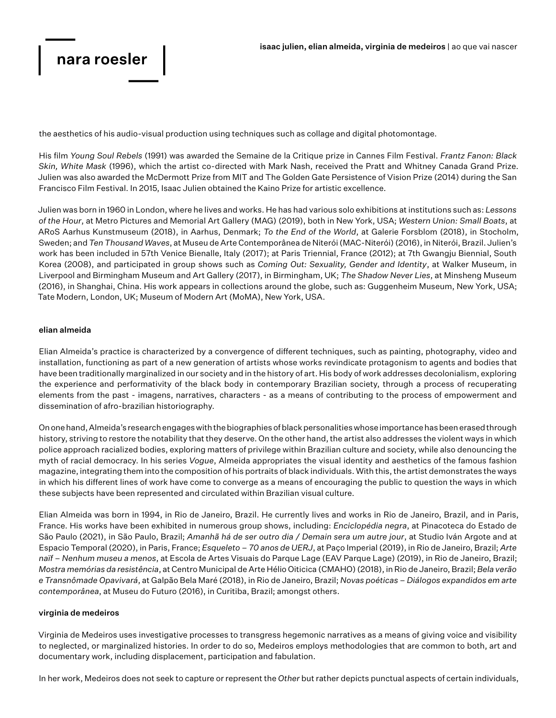## nara roesler

the aesthetics of his audio-visual production using techniques such as collage and digital photomontage.

His film *Young Soul Rebels* (1991) was awarded the Semaine de la Critique prize in Cannes Film Festival. *Frantz Fanon: Black Skin, White Mask* (1996), which the artist co-directed with Mark Nash, received the Pratt and Whitney Canada Grand Prize. Julien was also awarded the McDermott Prize from MIT and The Golden Gate Persistence of Vision Prize (2014) during the San Francisco Film Festival. In 2015, Isaac Julien obtained the Kaino Prize for artistic excellence.

Julien was born in 1960 in London, where he lives and works. He has had various solo exhibitions at institutions such as: *Lessons of the Hour*, at Metro Pictures and Memorial Art Gallery (MAG) (2019), both in New York, USA; *Western Union: Small Boats*, at ARoS Aarhus Kunstmuseum (2018), in Aarhus, Denmark; *To the End of the World*, at Galerie Forsblom (2018), in Stocholm, Sweden; and *Ten Thousand Waves*, at Museu de Arte Contemporânea de Niterói (MAC-Niterói) (2016), in Niterói, Brazil. Julien's work has been included in 57th Venice Bienalle, Italy (2017); at Paris Triennial, France (2012); at 7th Gwangju Biennial, South Korea (2008), and participated in group shows such as *Coming Out: Sexuality, Gender and Identity*, at Walker Museum, in Liverpool and Birmingham Museum and Art Gallery (2017), in Birmingham, UK; *The Shadow Never Lies*, at Minsheng Museum (2016), in Shanghai, China. His work appears in collections around the globe, such as: Guggenheim Museum, New York, USA; Tate Modern, London, UK; Museum of Modern Art (MoMA), New York, USA.

### elian almeida

Elian Almeida's practice is characterized by a convergence of different techniques, such as painting, photography, video and installation, functioning as part of a new generation of artists whose works revindicate protagonism to agents and bodies that have been traditionally marginalized in our society and in the history of art. His body of work addresses decolonialism, exploring the experience and performativity of the black body in contemporary Brazilian society, through a process of recuperating elements from the past - imagens, narratives, characters - as a means of contributing to the process of empowerment and dissemination of afro-brazilian historiography.

On one hand, Almeida's research engages with the biographies of black personalities whose importance has been erased through history, striving to restore the notability that they deserve. On the other hand, the artist also addresses the violent ways in which police approach racialized bodies, exploring matters of privilege within Brazilian culture and society, while also denouncing the myth of racial democracy. In his series *Vogue*, Almeida appropriates the visual identity and aesthetics of the famous fashion magazine, integrating them into the composition of his portraits of black individuals. With this, the artist demonstrates the ways in which his different lines of work have come to converge as a means of encouraging the public to question the ways in which these subjects have been represented and circulated within Brazilian visual culture.

Elian Almeida was born in 1994, in Rio de Janeiro, Brazil. He currently lives and works in Rio de Janeiro, Brazil, and in Paris, France. His works have been exhibited in numerous group shows, including: *Enciclopédia negra*, at Pinacoteca do Estado de São Paulo (2021), in São Paulo, Brazil; *Amanhã há de ser outro dia / Demain sera um autre jour*, at Studio Iván Argote and at Espacio Temporal (2020), in Paris, France; *Esqueleto – 70 anos de UERJ*, at Paço Imperial (2019), in Rio de Janeiro, Brazil; *Arte naïf – Nenhum museu a menos*, at Escola de Artes Visuais do Parque Lage (EAV Parque Lage) (2019), in Rio de Janeiro, Brazil; *Mostra memórias da resistência*, at Centro Municipal de Arte Hélio Oiticica (CMAHO) (2018), in Rio de Janeiro, Brazil; *Bela verão e Transnômade Opavivará*, at Galpão Bela Maré (2018), in Rio de Janeiro, Brazil; *Novas poéticas – Diálogos expandidos em arte contemporânea*, at Museu do Futuro (2016), in Curitiba, Brazil; amongst others.

### virginia de medeiros

Virginia de Medeiros uses investigative processes to transgress hegemonic narratives as a means of giving voice and visibility to neglected, or marginalized histories. In order to do so, Medeiros employs methodologies that are common to both, art and documentary work, including displacement, participation and fabulation.

In her work, Medeiros does not seek to capture or represent the *Other* but rather depicts punctual aspects of certain individuals,